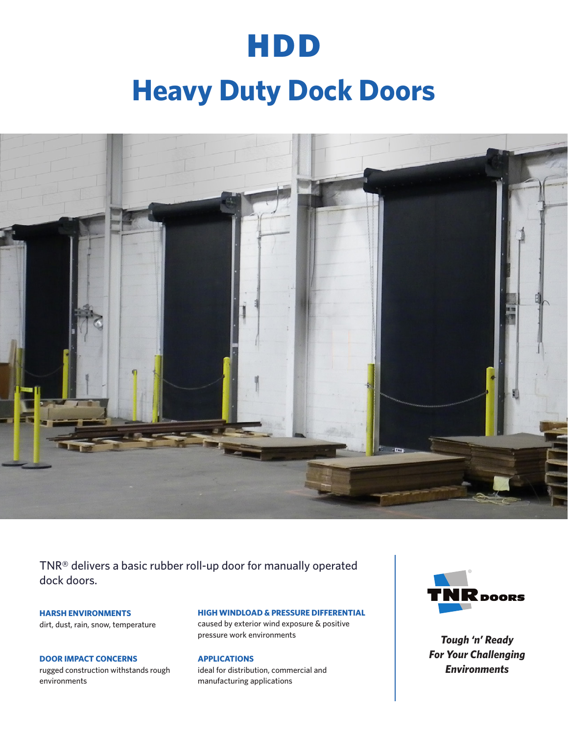## HDD

# **Heavy Duty Dock Doors**



TNR® delivers a basic rubber roll-up door for manually operated dock doors.

**HARSH ENVIRONMENTS** dirt, dust, rain, snow, temperature

**DOOR IMPACT CONCERNS** rugged construction withstands rough environments

#### **HIGH WINDLOAD & PRESSURE DIFFERENTIAL**

caused by exterior wind exposure & positive pressure work environments

#### **APPLICATIONS**

ideal for distribution, commercial and manufacturing applications



*Tough 'n' Ready For Your Challenging Environments*